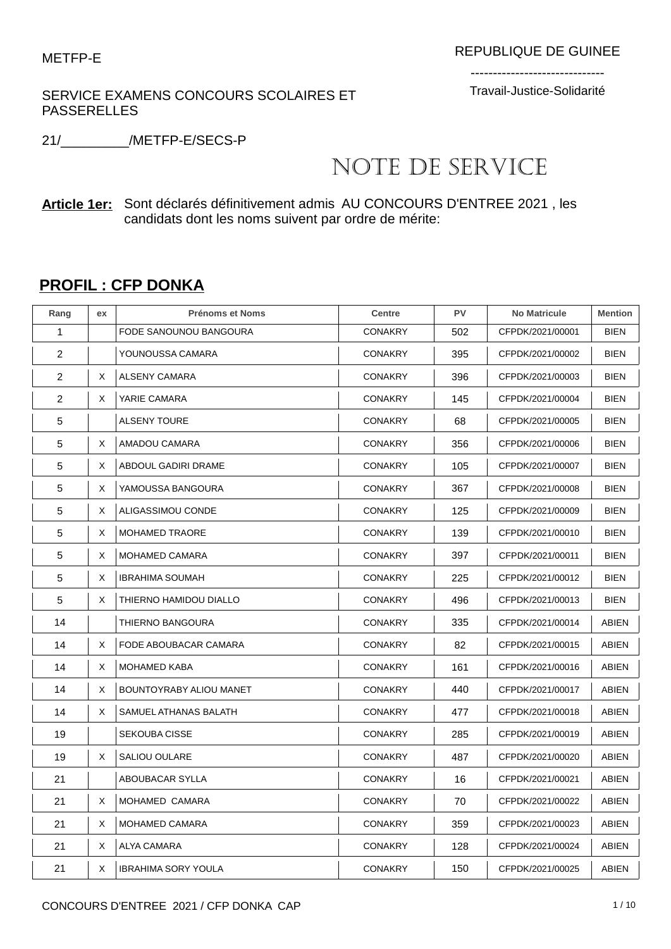SERVICE EXAMENS CONCOURS SCOLAIRES ET PASSERELLES

------------------------------ Travail-Justice-Solidarité

21/\_\_\_\_\_\_\_\_\_/METFP-E/SECS-P

## NOTE DE SERVICE

**Article 1er:** Sont déclarés définitivement admis AU CONCOURS D'ENTREE 2021 , les candidats dont les noms suivent par ordre de mérite:

## **PROFIL : CFP DONKA**

| Rang | ex | <b>Prénoms et Noms</b>         | <b>Centre</b>  | <b>PV</b> | <b>No Matricule</b> | <b>Mention</b> |
|------|----|--------------------------------|----------------|-----------|---------------------|----------------|
| 1    |    | FODE SANOUNOU BANGOURA         | CONAKRY        | 502       | CFPDK/2021/00001    | <b>BIEN</b>    |
| 2    |    | YOUNOUSSA CAMARA               | <b>CONAKRY</b> | 395       | CFPDK/2021/00002    | <b>BIEN</b>    |
| 2    | Χ  | ALSENY CAMARA                  | <b>CONAKRY</b> | 396       | CFPDK/2021/00003    | <b>BIEN</b>    |
| 2    | X  | YARIE CAMARA                   | <b>CONAKRY</b> | 145       | CFPDK/2021/00004    | <b>BIEN</b>    |
| 5    |    | <b>ALSENY TOURE</b>            | <b>CONAKRY</b> | 68        | CFPDK/2021/00005    | <b>BIEN</b>    |
| 5    | Χ  | AMADOU CAMARA                  | <b>CONAKRY</b> | 356       | CFPDK/2021/00006    | <b>BIEN</b>    |
| 5    | X  | ABDOUL GADIRI DRAME            | <b>CONAKRY</b> | 105       | CFPDK/2021/00007    | <b>BIEN</b>    |
| 5    | Χ  | YAMOUSSA BANGOURA              | <b>CONAKRY</b> | 367       | CFPDK/2021/00008    | <b>BIEN</b>    |
| 5    | X  | ALIGASSIMOU CONDE              | <b>CONAKRY</b> | 125       | CFPDK/2021/00009    | <b>BIEN</b>    |
| 5    | X  | <b>MOHAMED TRAORE</b>          | <b>CONAKRY</b> | 139       | CFPDK/2021/00010    | <b>BIEN</b>    |
| 5    | Χ  | <b>MOHAMED CAMARA</b>          | <b>CONAKRY</b> | 397       | CFPDK/2021/00011    | <b>BIEN</b>    |
| 5    | Χ  | <b>IBRAHIMA SOUMAH</b>         | <b>CONAKRY</b> | 225       | CFPDK/2021/00012    | <b>BIEN</b>    |
| 5    | Χ  | THIERNO HAMIDOU DIALLO         | <b>CONAKRY</b> | 496       | CFPDK/2021/00013    | <b>BIEN</b>    |
| 14   |    | THIERNO BANGOURA               | <b>CONAKRY</b> | 335       | CFPDK/2021/00014    | <b>ABIEN</b>   |
| 14   | Χ  | FODE ABOUBACAR CAMARA          | <b>CONAKRY</b> | 82        | CFPDK/2021/00015    | ABIEN          |
| 14   | Χ  | <b>MOHAMED KABA</b>            | <b>CONAKRY</b> | 161       | CFPDK/2021/00016    | ABIEN          |
| 14   | X  | <b>BOUNTOYRABY ALIOU MANET</b> | <b>CONAKRY</b> | 440       | CFPDK/2021/00017    | <b>ABIEN</b>   |
| 14   | X  | SAMUEL ATHANAS BALATH          | <b>CONAKRY</b> | 477       | CFPDK/2021/00018    | ABIEN          |
| 19   |    | <b>SEKOUBA CISSE</b>           | <b>CONAKRY</b> | 285       | CFPDK/2021/00019    | ABIEN          |
| 19   | X  | <b>SALIOU OULARE</b>           | <b>CONAKRY</b> | 487       | CFPDK/2021/00020    | ABIEN          |
| 21   |    | ABOUBACAR SYLLA                | <b>CONAKRY</b> | 16        | CFPDK/2021/00021    | ABIEN          |
| 21   | Χ  | MOHAMED CAMARA                 | <b>CONAKRY</b> | 70        | CFPDK/2021/00022    | ABIEN          |
| 21   | Χ  | <b>MOHAMED CAMARA</b>          | <b>CONAKRY</b> | 359       | CFPDK/2021/00023    | ABIEN          |
| 21   | X  | ALYA CAMARA                    | <b>CONAKRY</b> | 128       | CFPDK/2021/00024    | ABIEN          |
| 21   | Χ  | <b>IBRAHIMA SORY YOULA</b>     | <b>CONAKRY</b> | 150       | CFPDK/2021/00025    | ABIEN          |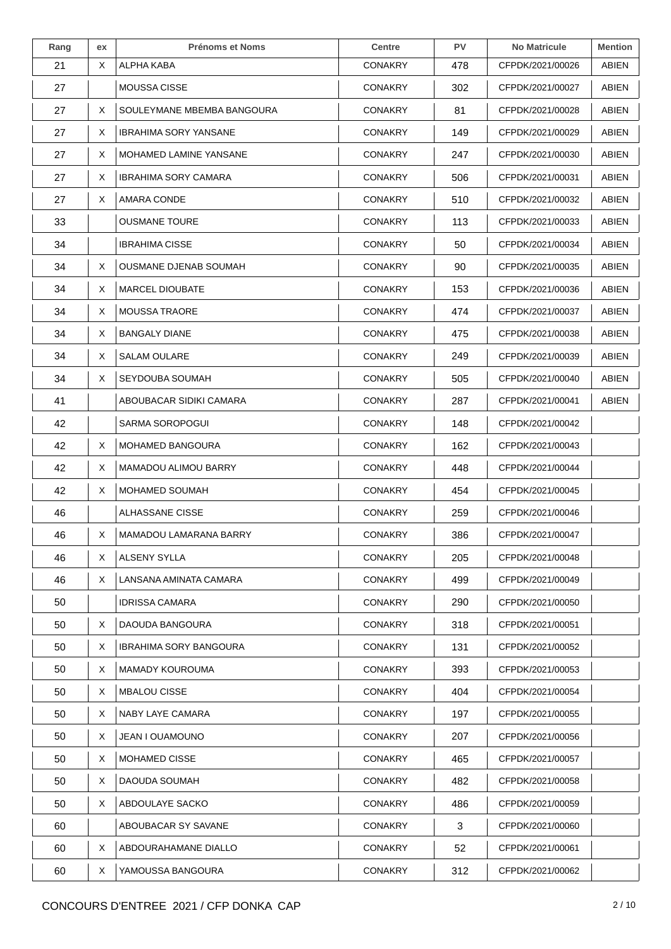| Rang | ex | <b>Prénoms et Noms</b>        | <b>Centre</b>  | <b>PV</b> | <b>No Matricule</b> | <b>Mention</b> |
|------|----|-------------------------------|----------------|-----------|---------------------|----------------|
| 21   | X  | ALPHA KABA                    | <b>CONAKRY</b> | 478       | CFPDK/2021/00026    | ABIEN          |
| 27   |    | <b>MOUSSA CISSE</b>           | <b>CONAKRY</b> | 302       | CFPDK/2021/00027    | ABIEN          |
| 27   | Χ  | SOULEYMANE MBEMBA BANGOURA    | <b>CONAKRY</b> | 81        | CFPDK/2021/00028    | ABIEN          |
| 27   | X  | <b>IBRAHIMA SORY YANSANE</b>  | <b>CONAKRY</b> | 149       | CFPDK/2021/00029    | ABIEN          |
| 27   | X  | MOHAMED LAMINE YANSANE        | <b>CONAKRY</b> | 247       | CFPDK/2021/00030    | ABIEN          |
| 27   | X  | <b>IBRAHIMA SORY CAMARA</b>   | <b>CONAKRY</b> | 506       | CFPDK/2021/00031    | ABIEN          |
| 27   | X  | AMARA CONDE                   | <b>CONAKRY</b> | 510       | CFPDK/2021/00032    | ABIEN          |
| 33   |    | <b>OUSMANE TOURE</b>          | <b>CONAKRY</b> | 113       | CFPDK/2021/00033    | ABIEN          |
| 34   |    | <b>IBRAHIMA CISSE</b>         | <b>CONAKRY</b> | 50        | CFPDK/2021/00034    | ABIEN          |
| 34   | X  | <b>OUSMANE DJENAB SOUMAH</b>  | <b>CONAKRY</b> | 90        | CFPDK/2021/00035    | ABIEN          |
| 34   | X  | <b>MARCEL DIOUBATE</b>        | <b>CONAKRY</b> | 153       | CFPDK/2021/00036    | ABIEN          |
| 34   | Χ  | <b>MOUSSA TRAORE</b>          | <b>CONAKRY</b> | 474       | CFPDK/2021/00037    | ABIEN          |
| 34   | Χ  | <b>BANGALY DIANE</b>          | <b>CONAKRY</b> | 475       | CFPDK/2021/00038    | ABIEN          |
| 34   | Χ  | <b>SALAM OULARE</b>           | <b>CONAKRY</b> | 249       | CFPDK/2021/00039    | ABIEN          |
| 34   | X  | SEYDOUBA SOUMAH               | <b>CONAKRY</b> | 505       | CFPDK/2021/00040    | ABIEN          |
| 41   |    | ABOUBACAR SIDIKI CAMARA       | <b>CONAKRY</b> | 287       | CFPDK/2021/00041    | ABIEN          |
| 42   |    | <b>SARMA SOROPOGUI</b>        | <b>CONAKRY</b> | 148       | CFPDK/2021/00042    |                |
| 42   | X  | MOHAMED BANGOURA              | <b>CONAKRY</b> | 162       | CFPDK/2021/00043    |                |
| 42   | Χ  | MAMADOU ALIMOU BARRY          | <b>CONAKRY</b> | 448       | CFPDK/2021/00044    |                |
| 42   | X  | MOHAMED SOUMAH                | <b>CONAKRY</b> | 454       | CFPDK/2021/00045    |                |
| 46   |    | ALHASSANE CISSE               | <b>CONAKRY</b> | 259       | CFPDK/2021/00046    |                |
| 46   | Χ  | MAMADOU LAMARANA BARRY        | <b>CONAKRY</b> | 386       | CFPDK/2021/00047    |                |
| 46   | X  | ALSENY SYLLA                  | <b>CONAKRY</b> | 205       | CFPDK/2021/00048    |                |
| 46   | X  | LANSANA AMINATA CAMARA        | <b>CONAKRY</b> | 499       | CFPDK/2021/00049    |                |
| 50   |    | <b>IDRISSA CAMARA</b>         | <b>CONAKRY</b> | 290       | CFPDK/2021/00050    |                |
| 50   | X  | DAOUDA BANGOURA               | <b>CONAKRY</b> | 318       | CFPDK/2021/00051    |                |
| 50   | X  | <b>IBRAHIMA SORY BANGOURA</b> | <b>CONAKRY</b> | 131       | CFPDK/2021/00052    |                |
| 50   | X  | <b>MAMADY KOUROUMA</b>        | <b>CONAKRY</b> | 393       | CFPDK/2021/00053    |                |
| 50   | X  | <b>MBALOU CISSE</b>           | <b>CONAKRY</b> | 404       | CFPDK/2021/00054    |                |
| 50   | X  | NABY LAYE CAMARA              | <b>CONAKRY</b> | 197       | CFPDK/2021/00055    |                |
| 50   | X  | JEAN I OUAMOUNO               | <b>CONAKRY</b> | 207       | CFPDK/2021/00056    |                |
| 50   | X  | MOHAMED CISSE                 | <b>CONAKRY</b> | 465       | CFPDK/2021/00057    |                |
| 50   | X  | DAOUDA SOUMAH                 | <b>CONAKRY</b> | 482       | CFPDK/2021/00058    |                |
| 50   | X  | ABDOULAYE SACKO               | <b>CONAKRY</b> | 486       | CFPDK/2021/00059    |                |
| 60   |    | ABOUBACAR SY SAVANE           | <b>CONAKRY</b> | 3         | CFPDK/2021/00060    |                |
| 60   | X  | ABDOURAHAMANE DIALLO          | <b>CONAKRY</b> | 52        | CFPDK/2021/00061    |                |
| 60   | X  | YAMOUSSA BANGOURA             | <b>CONAKRY</b> | 312       | CFPDK/2021/00062    |                |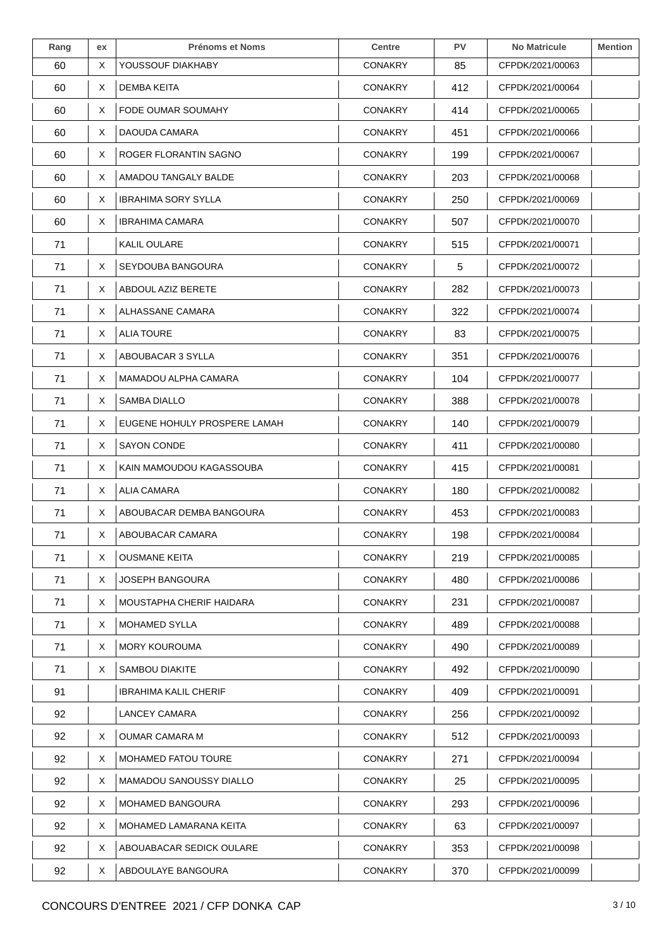| Rang | ex | <b>Prénoms et Noms</b>          | <b>Centre</b>  | <b>PV</b> | <b>No Matricule</b> | <b>Mention</b> |
|------|----|---------------------------------|----------------|-----------|---------------------|----------------|
| 60   | X  | YOUSSOUF DIAKHABY               | <b>CONAKRY</b> | 85        | CFPDK/2021/00063    |                |
| 60   | X  | <b>DEMBA KEITA</b>              | <b>CONAKRY</b> | 412       | CFPDK/2021/00064    |                |
| 60   | X  | FODE OUMAR SOUMAHY              | <b>CONAKRY</b> | 414       | CFPDK/2021/00065    |                |
| 60   | X. | DAOUDA CAMARA                   | <b>CONAKRY</b> | 451       | CFPDK/2021/00066    |                |
| 60   | X  | ROGER FLORANTIN SAGNO           | <b>CONAKRY</b> | 199       | CFPDK/2021/00067    |                |
| 60   | X  | AMADOU TANGALY BALDE            | <b>CONAKRY</b> | 203       | CFPDK/2021/00068    |                |
| 60   | X  | IBRAHIMA SORY SYLLA             | <b>CONAKRY</b> | 250       | CFPDK/2021/00069    |                |
| 60   | X  | IBRAHIMA CAMARA                 | <b>CONAKRY</b> | 507       | CFPDK/2021/00070    |                |
| 71   |    | KALIL OULARE                    | <b>CONAKRY</b> | 515       | CFPDK/2021/00071    |                |
| 71   | X  | SEYDOUBA BANGOURA               | <b>CONAKRY</b> | 5         | CFPDK/2021/00072    |                |
| 71   | X  | ABDOUL AZIZ BERETE              | <b>CONAKRY</b> | 282       | CFPDK/2021/00073    |                |
| 71   | X. | ALHASSANE CAMARA                | <b>CONAKRY</b> | 322       | CFPDK/2021/00074    |                |
| 71   | X  | <b>ALIA TOURE</b>               | <b>CONAKRY</b> | 83        | CFPDK/2021/00075    |                |
| 71   | X  | ABOUBACAR 3 SYLLA               | <b>CONAKRY</b> | 351       | CFPDK/2021/00076    |                |
| 71   | X. | MAMADOU ALPHA CAMARA            | <b>CONAKRY</b> | 104       | CFPDK/2021/00077    |                |
| 71   | X  | SAMBA DIALLO                    | <b>CONAKRY</b> | 388       | CFPDK/2021/00078    |                |
| 71   | X. | EUGENE HOHULY PROSPERE LAMAH    | <b>CONAKRY</b> | 140       | CFPDK/2021/00079    |                |
| 71   | X. | <b>SAYON CONDE</b>              | <b>CONAKRY</b> | 411       | CFPDK/2021/00080    |                |
| 71   | X  | KAIN MAMOUDOU KAGASSOUBA        | <b>CONAKRY</b> | 415       | CFPDK/2021/00081    |                |
| 71   | X  | ALIA CAMARA                     | <b>CONAKRY</b> | 180       | CFPDK/2021/00082    |                |
| 71   | X. | ABOUBACAR DEMBA BANGOURA        | <b>CONAKRY</b> | 453       | CFPDK/2021/00083    |                |
| 71   | X  | ABOUBACAR CAMARA                | <b>CONAKRY</b> | 198       | CFPDK/2021/00084    |                |
| 71   | X. | <b>OUSMANE KEITA</b>            | <b>CONAKRY</b> | 219       | CFPDK/2021/00085    |                |
| 71   | X  | <b>JOSEPH BANGOURA</b>          | <b>CONAKRY</b> | 480       | CFPDK/2021/00086    |                |
| 71   | X  | <b>MOUSTAPHA CHERIF HAIDARA</b> | <b>CONAKRY</b> | 231       | CFPDK/2021/00087    |                |
| 71   | X. | <b>MOHAMED SYLLA</b>            | <b>CONAKRY</b> | 489       | CFPDK/2021/00088    |                |
| 71   | X  | <b>MORY KOUROUMA</b>            | <b>CONAKRY</b> | 490       | CFPDK/2021/00089    |                |
| 71   | X  | SAMBOU DIAKITE                  | <b>CONAKRY</b> | 492       | CFPDK/2021/00090    |                |
| 91   |    | IBRAHIMA KALIL CHERIF           | <b>CONAKRY</b> | 409       | CFPDK/2021/00091    |                |
| 92   |    | LANCEY CAMARA                   | <b>CONAKRY</b> | 256       | CFPDK/2021/00092    |                |
| 92   | X  | <b>OUMAR CAMARA M</b>           | <b>CONAKRY</b> | 512       | CFPDK/2021/00093    |                |
| 92   | X  | <b>MOHAMED FATOU TOURE</b>      | <b>CONAKRY</b> | 271       | CFPDK/2021/00094    |                |
| 92   | X  | MAMADOU SANOUSSY DIALLO         | <b>CONAKRY</b> | 25        | CFPDK/2021/00095    |                |
| 92   | X. | <b>MOHAMED BANGOURA</b>         | <b>CONAKRY</b> | 293       | CFPDK/2021/00096    |                |
| 92   | X  | MOHAMED LAMARANA KEITA          | <b>CONAKRY</b> | 63        | CFPDK/2021/00097    |                |
| 92   | X  | ABOUABACAR SEDICK OULARE        | <b>CONAKRY</b> | 353       | CFPDK/2021/00098    |                |
| 92   | X  | ABDOULAYE BANGOURA              | <b>CONAKRY</b> | 370       | CFPDK/2021/00099    |                |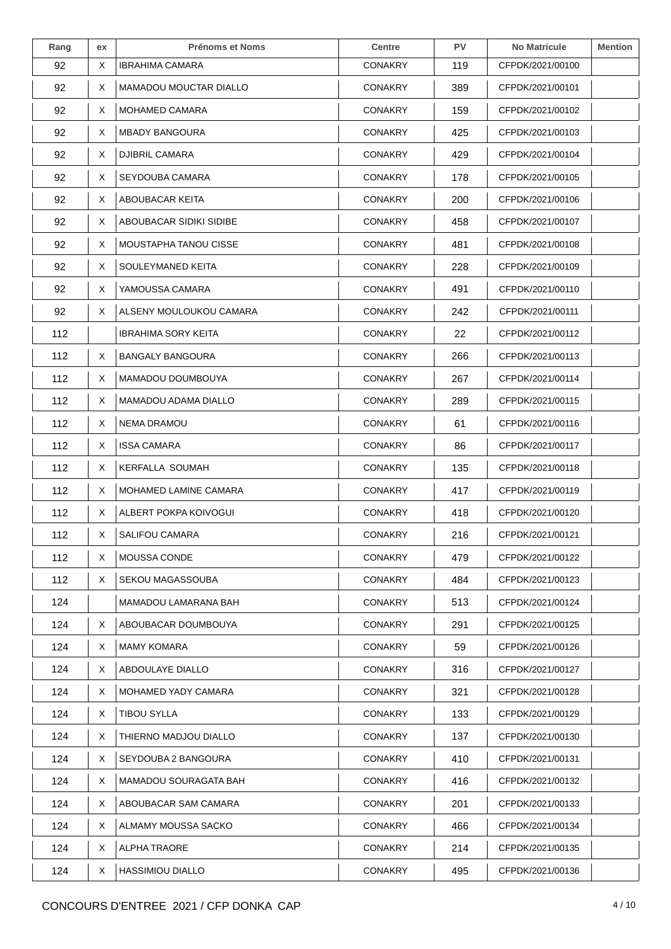| Rang | ex | <b>Prénoms et Noms</b>        | <b>Centre</b>  | <b>PV</b> | <b>No Matricule</b> | <b>Mention</b> |
|------|----|-------------------------------|----------------|-----------|---------------------|----------------|
| 92   | X  | IBRAHIMA CAMARA               | <b>CONAKRY</b> | 119       | CFPDK/2021/00100    |                |
| 92   | X  | <b>MAMADOU MOUCTAR DIALLO</b> | <b>CONAKRY</b> | 389       | CFPDK/2021/00101    |                |
| 92   | X  | <b>MOHAMED CAMARA</b>         | <b>CONAKRY</b> | 159       | CFPDK/2021/00102    |                |
| 92   | X  | <b>MBADY BANGOURA</b>         | <b>CONAKRY</b> | 425       | CFPDK/2021/00103    |                |
| 92   | X  | DJIBRIL CAMARA                | <b>CONAKRY</b> | 429       | CFPDK/2021/00104    |                |
| 92   | Χ  | SEYDOUBA CAMARA               | <b>CONAKRY</b> | 178       | CFPDK/2021/00105    |                |
| 92   | X  | ABOUBACAR KEITA               | <b>CONAKRY</b> | 200       | CFPDK/2021/00106    |                |
| 92   | X  | ABOUBACAR SIDIKI SIDIBE       | <b>CONAKRY</b> | 458       | CFPDK/2021/00107    |                |
| 92   | X  | MOUSTAPHA TANOU CISSE         | <b>CONAKRY</b> | 481       | CFPDK/2021/00108    |                |
| 92   | X  | SOULEYMANED KEITA             | <b>CONAKRY</b> | 228       | CFPDK/2021/00109    |                |
| 92   | Χ  | YAMOUSSA CAMARA               | <b>CONAKRY</b> | 491       | CFPDK/2021/00110    |                |
| 92   | X  | ALSENY MOULOUKOU CAMARA       | <b>CONAKRY</b> | 242       | CFPDK/2021/00111    |                |
| 112  |    | IBRAHIMA SORY KEITA           | <b>CONAKRY</b> | 22        | CFPDK/2021/00112    |                |
| 112  | X  | <b>BANGALY BANGOURA</b>       | <b>CONAKRY</b> | 266       | CFPDK/2021/00113    |                |
| 112  | X  | MAMADOU DOUMBOUYA             | <b>CONAKRY</b> | 267       | CFPDK/2021/00114    |                |
| 112  | X  | MAMADOU ADAMA DIALLO          | <b>CONAKRY</b> | 289       | CFPDK/2021/00115    |                |
| 112  | X  | NEMA DRAMOU                   | <b>CONAKRY</b> | 61        | CFPDK/2021/00116    |                |
| 112  | X  | <b>ISSA CAMARA</b>            | <b>CONAKRY</b> | 86        | CFPDK/2021/00117    |                |
| 112  | Χ  | <b>KERFALLA SOUMAH</b>        | <b>CONAKRY</b> | 135       | CFPDK/2021/00118    |                |
| 112  | X  | MOHAMED LAMINE CAMARA         | <b>CONAKRY</b> | 417       | CFPDK/2021/00119    |                |
| 112  | X  | ALBERT POKPA KOIVOGUI         | <b>CONAKRY</b> | 418       | CFPDK/2021/00120    |                |
| 112  | X  | <b>SALIFOU CAMARA</b>         | <b>CONAKRY</b> | 216       | CFPDK/2021/00121    |                |
| 112  | X  | <b>MOUSSA CONDE</b>           | <b>CONAKRY</b> | 479       | CFPDK/2021/00122    |                |
| 112  | X  | SEKOU MAGASSOUBA              | <b>CONAKRY</b> | 484       | CFPDK/2021/00123    |                |
| 124  |    | MAMADOU LAMARANA BAH          | <b>CONAKRY</b> | 513       | CFPDK/2021/00124    |                |
| 124  | X  | ABOUBACAR DOUMBOUYA           | <b>CONAKRY</b> | 291       | CFPDK/2021/00125    |                |
| 124  | X  | <b>MAMY KOMARA</b>            | <b>CONAKRY</b> | 59        | CFPDK/2021/00126    |                |
| 124  | X. | ABDOULAYE DIALLO              | <b>CONAKRY</b> | 316       | CFPDK/2021/00127    |                |
| 124  | Χ  | MOHAMED YADY CAMARA           | <b>CONAKRY</b> | 321       | CFPDK/2021/00128    |                |
| 124  | X  | <b>TIBOU SYLLA</b>            | <b>CONAKRY</b> | 133       | CFPDK/2021/00129    |                |
| 124  | X  | THIERNO MADJOU DIALLO         | <b>CONAKRY</b> | 137       | CFPDK/2021/00130    |                |
| 124  | X  | SEYDOUBA 2 BANGOURA           | <b>CONAKRY</b> | 410       | CFPDK/2021/00131    |                |
| 124  | X  | MAMADOU SOURAGATA BAH         | <b>CONAKRY</b> | 416       | CFPDK/2021/00132    |                |
| 124  | X  | ABOUBACAR SAM CAMARA          | <b>CONAKRY</b> | 201       | CFPDK/2021/00133    |                |
| 124  | X  | ALMAMY MOUSSA SACKO           | <b>CONAKRY</b> | 466       | CFPDK/2021/00134    |                |
| 124  | X  | <b>ALPHA TRAORE</b>           | <b>CONAKRY</b> | 214       | CFPDK/2021/00135    |                |
| 124  | X  | <b>HASSIMIOU DIALLO</b>       | <b>CONAKRY</b> | 495       | CFPDK/2021/00136    |                |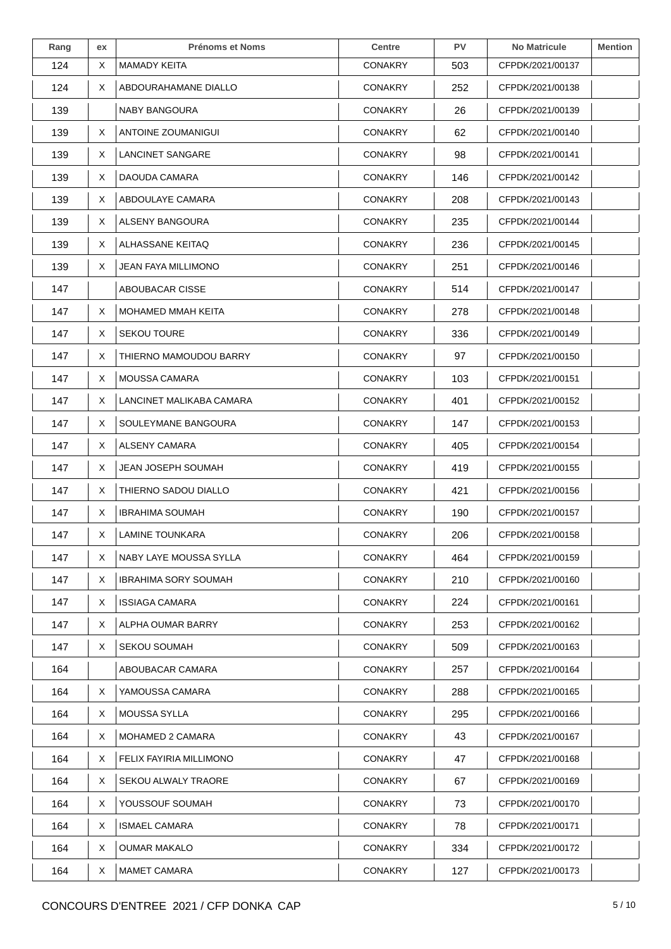| Rang | ex | <b>Prénoms et Noms</b>      | <b>Centre</b>  | <b>PV</b> | <b>No Matricule</b> | <b>Mention</b> |
|------|----|-----------------------------|----------------|-----------|---------------------|----------------|
| 124  | Χ  | <b>MAMADY KEITA</b>         | <b>CONAKRY</b> | 503       | CFPDK/2021/00137    |                |
| 124  | Χ  | ABDOURAHAMANE DIALLO        | <b>CONAKRY</b> | 252       | CFPDK/2021/00138    |                |
| 139  |    | NABY BANGOURA               | CONAKRY        | 26        | CFPDK/2021/00139    |                |
| 139  | X  | ANTOINE ZOUMANIGUI          | <b>CONAKRY</b> | 62        | CFPDK/2021/00140    |                |
| 139  | X  | <b>LANCINET SANGARE</b>     | <b>CONAKRY</b> | 98        | CFPDK/2021/00141    |                |
| 139  | X  | DAOUDA CAMARA               | <b>CONAKRY</b> | 146       | CFPDK/2021/00142    |                |
| 139  | X  | ABDOULAYE CAMARA            | <b>CONAKRY</b> | 208       | CFPDK/2021/00143    |                |
| 139  | Χ  | ALSENY BANGOURA             | <b>CONAKRY</b> | 235       | CFPDK/2021/00144    |                |
| 139  | X  | ALHASSANE KEITAQ            | <b>CONAKRY</b> | 236       | CFPDK/2021/00145    |                |
| 139  | Χ  | JEAN FAYA MILLIMONO         | <b>CONAKRY</b> | 251       | CFPDK/2021/00146    |                |
| 147  |    | ABOUBACAR CISSE             | <b>CONAKRY</b> | 514       | CFPDK/2021/00147    |                |
| 147  | X  | <b>MOHAMED MMAH KEITA</b>   | <b>CONAKRY</b> | 278       | CFPDK/2021/00148    |                |
| 147  | X  | <b>SEKOU TOURE</b>          | <b>CONAKRY</b> | 336       | CFPDK/2021/00149    |                |
| 147  | X  | THIERNO MAMOUDOU BARRY      | <b>CONAKRY</b> | 97        | CFPDK/2021/00150    |                |
| 147  | X  | MOUSSA CAMARA               | <b>CONAKRY</b> | 103       | CFPDK/2021/00151    |                |
| 147  | X  | LANCINET MALIKABA CAMARA    | CONAKRY        | 401       | CFPDK/2021/00152    |                |
| 147  | X  | SOULEYMANE BANGOURA         | <b>CONAKRY</b> | 147       | CFPDK/2021/00153    |                |
| 147  | X  | ALSENY CAMARA               | <b>CONAKRY</b> | 405       | CFPDK/2021/00154    |                |
| 147  | Χ  | JEAN JOSEPH SOUMAH          | <b>CONAKRY</b> | 419       | CFPDK/2021/00155    |                |
| 147  | X  | THIERNO SADOU DIALLO        | <b>CONAKRY</b> | 421       | CFPDK/2021/00156    |                |
| 147  | X  | IBRAHIMA SOUMAH             | <b>CONAKRY</b> | 190       | CFPDK/2021/00157    |                |
| 147  | Χ  | <b>LAMINE TOUNKARA</b>      | <b>CONAKRY</b> | 206       | CFPDK/2021/00158    |                |
| 147  | X  | NABY LAYE MOUSSA SYLLA      | <b>CONAKRY</b> | 464       | CFPDK/2021/00159    |                |
| 147  | X  | <b>IBRAHIMA SORY SOUMAH</b> | <b>CONAKRY</b> | 210       | CFPDK/2021/00160    |                |
| 147  | X  | <b>ISSIAGA CAMARA</b>       | <b>CONAKRY</b> | 224       | CFPDK/2021/00161    |                |
| 147  | X  | ALPHA OUMAR BARRY           | <b>CONAKRY</b> | 253       | CFPDK/2021/00162    |                |
| 147  | X  | <b>SEKOU SOUMAH</b>         | <b>CONAKRY</b> | 509       | CFPDK/2021/00163    |                |
| 164  |    | ABOUBACAR CAMARA            | <b>CONAKRY</b> | 257       | CFPDK/2021/00164    |                |
| 164  | X  | YAMOUSSA CAMARA             | <b>CONAKRY</b> | 288       | CFPDK/2021/00165    |                |
| 164  | X  | MOUSSA SYLLA                | <b>CONAKRY</b> | 295       | CFPDK/2021/00166    |                |
| 164  | X  | MOHAMED 2 CAMARA            | <b>CONAKRY</b> | 43        | CFPDK/2021/00167    |                |
| 164  | X  | FELIX FAYIRIA MILLIMONO     | <b>CONAKRY</b> | 47        | CFPDK/2021/00168    |                |
| 164  | X  | SEKOU ALWALY TRAORE         | <b>CONAKRY</b> | 67        | CFPDK/2021/00169    |                |
| 164  | X  | YOUSSOUF SOUMAH             | <b>CONAKRY</b> | 73        | CFPDK/2021/00170    |                |
| 164  | Χ  | <b>ISMAEL CAMARA</b>        | <b>CONAKRY</b> | 78        | CFPDK/2021/00171    |                |
| 164  | X  | <b>OUMAR MAKALO</b>         | <b>CONAKRY</b> | 334       | CFPDK/2021/00172    |                |
| 164  | Χ  | <b>MAMET CAMARA</b>         | <b>CONAKRY</b> | 127       | CFPDK/2021/00173    |                |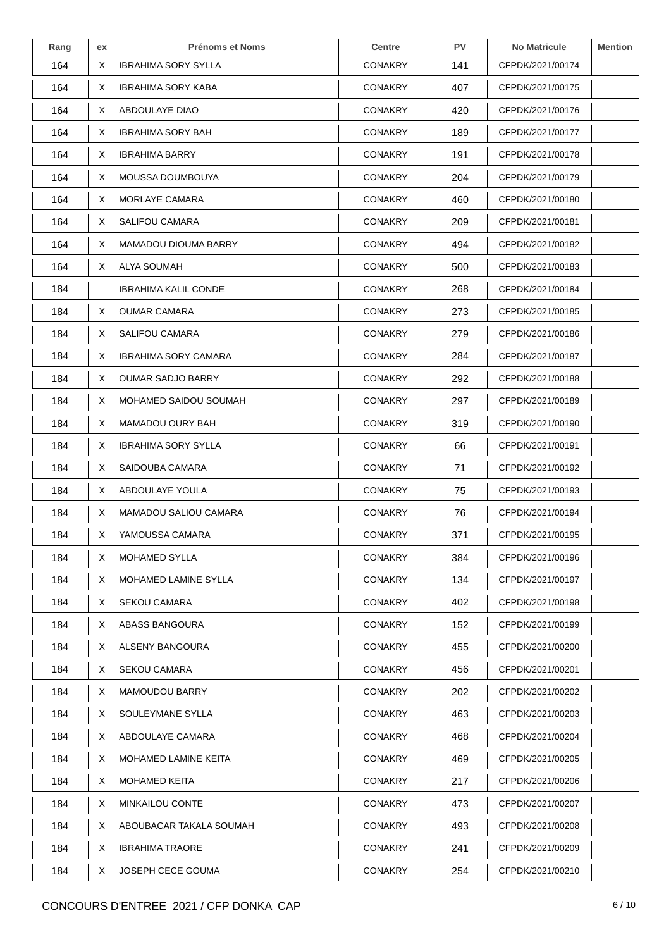| Rang | ex | <b>Prénoms et Noms</b>      | <b>Centre</b>  | <b>PV</b> | <b>No Matricule</b> | <b>Mention</b> |
|------|----|-----------------------------|----------------|-----------|---------------------|----------------|
| 164  | X  | <b>IBRAHIMA SORY SYLLA</b>  | <b>CONAKRY</b> | 141       | CFPDK/2021/00174    |                |
| 164  | X. | <b>IBRAHIMA SORY KABA</b>   | <b>CONAKRY</b> | 407       | CFPDK/2021/00175    |                |
| 164  | X. | ABDOULAYE DIAO              | <b>CONAKRY</b> | 420       | CFPDK/2021/00176    |                |
| 164  | X. | IBRAHIMA SORY BAH           | <b>CONAKRY</b> | 189       | CFPDK/2021/00177    |                |
| 164  | X  | <b>IBRAHIMA BARRY</b>       | <b>CONAKRY</b> | 191       | CFPDK/2021/00178    |                |
| 164  | X  | MOUSSA DOUMBOUYA            | <b>CONAKRY</b> | 204       | CFPDK/2021/00179    |                |
| 164  | X. | <b>MORLAYE CAMARA</b>       | <b>CONAKRY</b> | 460       | CFPDK/2021/00180    |                |
| 164  | X  | SALIFOU CAMARA              | <b>CONAKRY</b> | 209       | CFPDK/2021/00181    |                |
| 164  | X  | <b>MAMADOU DIOUMA BARRY</b> | <b>CONAKRY</b> | 494       | CFPDK/2021/00182    |                |
| 164  | X. | ALYA SOUMAH                 | <b>CONAKRY</b> | 500       | CFPDK/2021/00183    |                |
| 184  |    | <b>IBRAHIMA KALIL CONDE</b> | <b>CONAKRY</b> | 268       | CFPDK/2021/00184    |                |
| 184  | X  | <b>OUMAR CAMARA</b>         | <b>CONAKRY</b> | 273       | CFPDK/2021/00185    |                |
| 184  | X. | <b>SALIFOU CAMARA</b>       | <b>CONAKRY</b> | 279       | CFPDK/2021/00186    |                |
| 184  | X. | <b>IBRAHIMA SORY CAMARA</b> | <b>CONAKRY</b> | 284       | CFPDK/2021/00187    |                |
| 184  | X. | <b>OUMAR SADJO BARRY</b>    | <b>CONAKRY</b> | 292       | CFPDK/2021/00188    |                |
| 184  | X. | MOHAMED SAIDOU SOUMAH       | <b>CONAKRY</b> | 297       | CFPDK/2021/00189    |                |
| 184  | X. | MAMADOU OURY BAH            | <b>CONAKRY</b> | 319       | CFPDK/2021/00190    |                |
| 184  | X. | <b>IBRAHIMA SORY SYLLA</b>  | <b>CONAKRY</b> | 66        | CFPDK/2021/00191    |                |
| 184  | X  | SAIDOUBA CAMARA             | <b>CONAKRY</b> | 71        | CFPDK/2021/00192    |                |
| 184  | X. | ABDOULAYE YOULA             | <b>CONAKRY</b> | 75        | CFPDK/2021/00193    |                |
| 184  | X  | MAMADOU SALIOU CAMARA       | <b>CONAKRY</b> | 76        | CFPDK/2021/00194    |                |
| 184  | X  | YAMOUSSA CAMARA             | CONAKRY        | 371       | CFPDK/2021/00195    |                |
| 184  | X  | MOHAMED SYLLA               | <b>CONAKRY</b> | 384       | CFPDK/2021/00196    |                |
| 184  | X. | MOHAMED LAMINE SYLLA        | <b>CONAKRY</b> | 134       | CFPDK/2021/00197    |                |
| 184  | X. | <b>SEKOU CAMARA</b>         | <b>CONAKRY</b> | 402       | CFPDK/2021/00198    |                |
| 184  | X. | ABASS BANGOURA              | <b>CONAKRY</b> | 152       | CFPDK/2021/00199    |                |
| 184  | X. | ALSENY BANGOURA             | <b>CONAKRY</b> | 455       | CFPDK/2021/00200    |                |
| 184  | X. | <b>SEKOU CAMARA</b>         | <b>CONAKRY</b> | 456       | CFPDK/2021/00201    |                |
| 184  | X. | <b>MAMOUDOU BARRY</b>       | <b>CONAKRY</b> | 202       | CFPDK/2021/00202    |                |
| 184  | X. | SOULEYMANE SYLLA            | <b>CONAKRY</b> | 463       | CFPDK/2021/00203    |                |
| 184  | X. | ABDOULAYE CAMARA            | <b>CONAKRY</b> | 468       | CFPDK/2021/00204    |                |
| 184  | X  | <b>MOHAMED LAMINE KEITA</b> | <b>CONAKRY</b> | 469       | CFPDK/2021/00205    |                |
| 184  | X. | <b>MOHAMED KEITA</b>        | <b>CONAKRY</b> | 217       | CFPDK/2021/00206    |                |
| 184  | X. | <b>MINKAILOU CONTE</b>      | <b>CONAKRY</b> | 473       | CFPDK/2021/00207    |                |
| 184  | X. | ABOUBACAR TAKALA SOUMAH     | <b>CONAKRY</b> | 493       | CFPDK/2021/00208    |                |
| 184  | X. | <b>IBRAHIMA TRAORE</b>      | <b>CONAKRY</b> | 241       | CFPDK/2021/00209    |                |
| 184  | X  | <b>JOSEPH CECE GOUMA</b>    | <b>CONAKRY</b> | 254       | CFPDK/2021/00210    |                |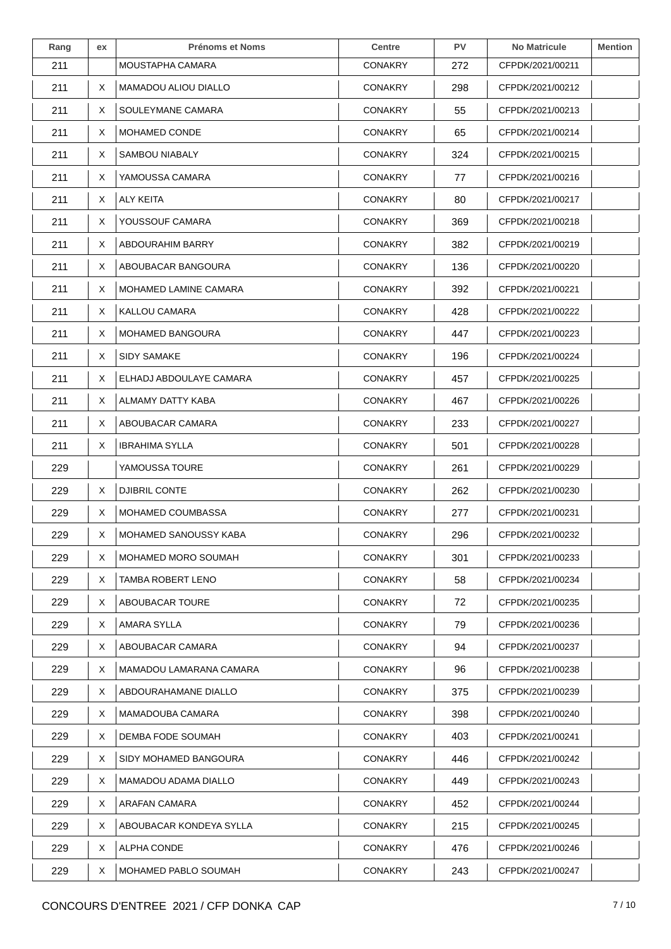| Rang | ex | <b>Prénoms et Noms</b>      | <b>Centre</b>  | <b>PV</b> | <b>No Matricule</b> | <b>Mention</b> |
|------|----|-----------------------------|----------------|-----------|---------------------|----------------|
| 211  |    | MOUSTAPHA CAMARA            | CONAKRY        | 272       | CFPDK/2021/00211    |                |
| 211  | Χ  | <b>MAMADOU ALIOU DIALLO</b> | <b>CONAKRY</b> | 298       | CFPDK/2021/00212    |                |
| 211  | X  | SOULEYMANE CAMARA           | <b>CONAKRY</b> | 55        | CFPDK/2021/00213    |                |
| 211  | X  | <b>MOHAMED CONDE</b>        | <b>CONAKRY</b> | 65        | CFPDK/2021/00214    |                |
| 211  | X  | SAMBOU NIABALY              | <b>CONAKRY</b> | 324       | CFPDK/2021/00215    |                |
| 211  | X  | YAMOUSSA CAMARA             | <b>CONAKRY</b> | 77        | CFPDK/2021/00216    |                |
| 211  | X  | ALY KEITA                   | <b>CONAKRY</b> | 80        | CFPDK/2021/00217    |                |
| 211  | X  | YOUSSOUF CAMARA             | CONAKRY        | 369       | CFPDK/2021/00218    |                |
| 211  | X  | ABDOURAHIM BARRY            | <b>CONAKRY</b> | 382       | CFPDK/2021/00219    |                |
| 211  | X  | ABOUBACAR BANGOURA          | <b>CONAKRY</b> | 136       | CFPDK/2021/00220    |                |
| 211  | X  | MOHAMED LAMINE CAMARA       | <b>CONAKRY</b> | 392       | CFPDK/2021/00221    |                |
| 211  | X  | KALLOU CAMARA               | <b>CONAKRY</b> | 428       | CFPDK/2021/00222    |                |
| 211  | Χ  | MOHAMED BANGOURA            | <b>CONAKRY</b> | 447       | CFPDK/2021/00223    |                |
| 211  | X  | <b>SIDY SAMAKE</b>          | <b>CONAKRY</b> | 196       | CFPDK/2021/00224    |                |
| 211  | X  | ELHADJ ABDOULAYE CAMARA     | <b>CONAKRY</b> | 457       | CFPDK/2021/00225    |                |
| 211  | X  | ALMAMY DATTY KABA           | <b>CONAKRY</b> | 467       | CFPDK/2021/00226    |                |
| 211  | X  | ABOUBACAR CAMARA            | <b>CONAKRY</b> | 233       | CFPDK/2021/00227    |                |
| 211  | X  | IBRAHIMA SYLLA              | <b>CONAKRY</b> | 501       | CFPDK/2021/00228    |                |
| 229  |    | YAMOUSSA TOURE              | <b>CONAKRY</b> | 261       | CFPDK/2021/00229    |                |
| 229  | X  | DJIBRIL CONTE               | <b>CONAKRY</b> | 262       | CFPDK/2021/00230    |                |
| 229  | X  | MOHAMED COUMBASSA           | CONAKRY        | 277       | CFPDK/2021/00231    |                |
| 229  | Χ  | MOHAMED SANOUSSY KABA       | <b>CONAKRY</b> | 296       | CFPDK/2021/00232    |                |
| 229  | X  | MOHAMED MORO SOUMAH         | <b>CONAKRY</b> | 301       | CFPDK/2021/00233    |                |
| 229  | X  | TAMBA ROBERT LENO           | <b>CONAKRY</b> | 58        | CFPDK/2021/00234    |                |
| 229  | X  | ABOUBACAR TOURE             | <b>CONAKRY</b> | 72        | CFPDK/2021/00235    |                |
| 229  | X  | AMARA SYLLA                 | <b>CONAKRY</b> | 79        | CFPDK/2021/00236    |                |
| 229  | X  | ABOUBACAR CAMARA            | <b>CONAKRY</b> | 94        | CFPDK/2021/00237    |                |
| 229  | X  | MAMADOU LAMARANA CAMARA     | <b>CONAKRY</b> | 96        | CFPDK/2021/00238    |                |
| 229  | X  | ABDOURAHAMANE DIALLO        | <b>CONAKRY</b> | 375       | CFPDK/2021/00239    |                |
| 229  | X  | MAMADOUBA CAMARA            | <b>CONAKRY</b> | 398       | CFPDK/2021/00240    |                |
| 229  | X  | DEMBA FODE SOUMAH           | <b>CONAKRY</b> | 403       | CFPDK/2021/00241    |                |
| 229  | X  | SIDY MOHAMED BANGOURA       | <b>CONAKRY</b> | 446       | CFPDK/2021/00242    |                |
| 229  | X  | MAMADOU ADAMA DIALLO        | <b>CONAKRY</b> | 449       | CFPDK/2021/00243    |                |
| 229  | X  | ARAFAN CAMARA               | CONAKRY        | 452       | CFPDK/2021/00244    |                |
| 229  | X  | ABOUBACAR KONDEYA SYLLA     | <b>CONAKRY</b> | 215       | CFPDK/2021/00245    |                |
| 229  | X  | <b>ALPHA CONDE</b>          | <b>CONAKRY</b> | 476       | CFPDK/2021/00246    |                |
| 229  | X  | MOHAMED PABLO SOUMAH        | <b>CONAKRY</b> | 243       | CFPDK/2021/00247    |                |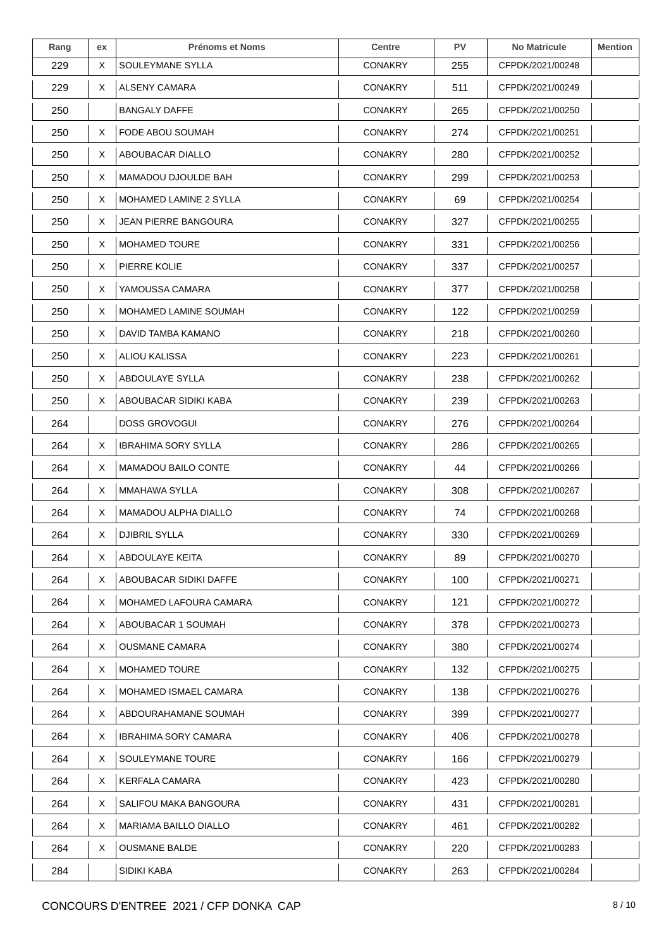| Rang | ex | <b>Prénoms et Noms</b>      | <b>Centre</b>  | <b>PV</b> | <b>No Matricule</b> | <b>Mention</b> |
|------|----|-----------------------------|----------------|-----------|---------------------|----------------|
| 229  | X. | SOULEYMANE SYLLA            | <b>CONAKRY</b> | 255       | CFPDK/2021/00248    |                |
| 229  | X. | ALSENY CAMARA               | <b>CONAKRY</b> | 511       | CFPDK/2021/00249    |                |
| 250  |    | <b>BANGALY DAFFE</b>        | <b>CONAKRY</b> | 265       | CFPDK/2021/00250    |                |
| 250  | X. | FODE ABOU SOUMAH            | <b>CONAKRY</b> | 274       | CFPDK/2021/00251    |                |
| 250  | X. | ABOUBACAR DIALLO            | <b>CONAKRY</b> | 280       | CFPDK/2021/00252    |                |
| 250  | X  | MAMADOU DJOULDE BAH         | <b>CONAKRY</b> | 299       | CFPDK/2021/00253    |                |
| 250  | X. | MOHAMED LAMINE 2 SYLLA      | <b>CONAKRY</b> | 69        | CFPDK/2021/00254    |                |
| 250  | X. | JEAN PIERRE BANGOURA        | <b>CONAKRY</b> | 327       | CFPDK/2021/00255    |                |
| 250  | X. | <b>MOHAMED TOURE</b>        | <b>CONAKRY</b> | 331       | CFPDK/2021/00256    |                |
| 250  | X  | PIERRE KOLIE                | <b>CONAKRY</b> | 337       | CFPDK/2021/00257    |                |
| 250  | X. | YAMOUSSA CAMARA             | <b>CONAKRY</b> | 377       | CFPDK/2021/00258    |                |
| 250  | X. | MOHAMED LAMINE SOUMAH       | <b>CONAKRY</b> | 122       | CFPDK/2021/00259    |                |
| 250  | X. | DAVID TAMBA KAMANO          | <b>CONAKRY</b> | 218       | CFPDK/2021/00260    |                |
| 250  | X. | ALIOU KALISSA               | <b>CONAKRY</b> | 223       | CFPDK/2021/00261    |                |
| 250  | X. | ABDOULAYE SYLLA             | <b>CONAKRY</b> | 238       | CFPDK/2021/00262    |                |
| 250  | X. | ABOUBACAR SIDIKI KABA       | <b>CONAKRY</b> | 239       | CFPDK/2021/00263    |                |
| 264  |    | <b>DOSS GROVOGUI</b>        | <b>CONAKRY</b> | 276       | CFPDK/2021/00264    |                |
| 264  | X. | IBRAHIMA SORY SYLLA         | <b>CONAKRY</b> | 286       | CFPDK/2021/00265    |                |
| 264  | X. | MAMADOU BAILO CONTE         | <b>CONAKRY</b> | 44        | CFPDK/2021/00266    |                |
| 264  | X. | MMAHAWA SYLLA               | <b>CONAKRY</b> | 308       | CFPDK/2021/00267    |                |
| 264  | X. | MAMADOU ALPHA DIALLO        | <b>CONAKRY</b> | 74        | CFPDK/2021/00268    |                |
| 264  | X. | DJIBRIL SYLLA               | <b>CONAKRY</b> | 330       | CFPDK/2021/00269    |                |
| 264  | X. | ABDOULAYE KEITA             | <b>CONAKRY</b> | 89        | CFPDK/2021/00270    |                |
| 264  | X. | ABOUBACAR SIDIKI DAFFE      | <b>CONAKRY</b> | 100       | CFPDK/2021/00271    |                |
| 264  | X  | MOHAMED LAFOURA CAMARA      | <b>CONAKRY</b> | 121       | CFPDK/2021/00272    |                |
| 264  | X. | ABOUBACAR 1 SOUMAH          | <b>CONAKRY</b> | 378       | CFPDK/2021/00273    |                |
| 264  | X  | <b>OUSMANE CAMARA</b>       | <b>CONAKRY</b> | 380       | CFPDK/2021/00274    |                |
| 264  | X. | <b>MOHAMED TOURE</b>        | <b>CONAKRY</b> | 132       | CFPDK/2021/00275    |                |
| 264  | X. | MOHAMED ISMAEL CAMARA       | <b>CONAKRY</b> | 138       | CFPDK/2021/00276    |                |
| 264  | X. | ABDOURAHAMANE SOUMAH        | <b>CONAKRY</b> | 399       | CFPDK/2021/00277    |                |
| 264  | X. | <b>IBRAHIMA SORY CAMARA</b> | <b>CONAKRY</b> | 406       | CFPDK/2021/00278    |                |
| 264  | X  | SOULEYMANE TOURE            | <b>CONAKRY</b> | 166       | CFPDK/2021/00279    |                |
| 264  | X. | <b>KERFALA CAMARA</b>       | <b>CONAKRY</b> | 423       | CFPDK/2021/00280    |                |
| 264  | X. | SALIFOU MAKA BANGOURA       | <b>CONAKRY</b> | 431       | CFPDK/2021/00281    |                |
| 264  | X. | MARIAMA BAILLO DIALLO       | <b>CONAKRY</b> | 461       | CFPDK/2021/00282    |                |
| 264  | X. | <b>OUSMANE BALDE</b>        | <b>CONAKRY</b> | 220       | CFPDK/2021/00283    |                |
| 284  |    | SIDIKI KABA                 | <b>CONAKRY</b> | 263       | CFPDK/2021/00284    |                |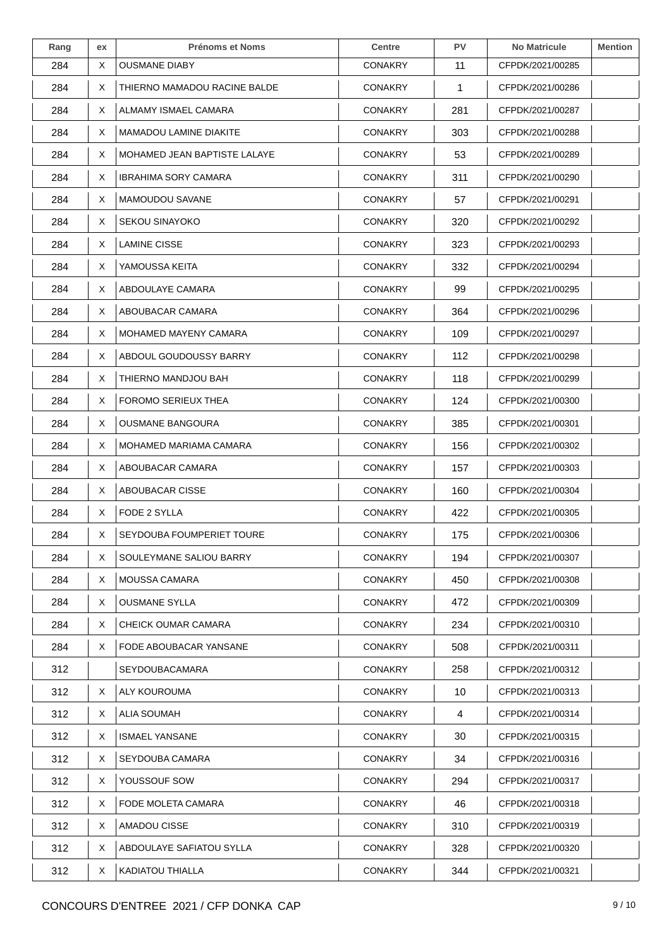| Rang | ex | <b>Prénoms et Noms</b>       | <b>Centre</b>  | <b>PV</b>   | <b>No Matricule</b> | <b>Mention</b> |
|------|----|------------------------------|----------------|-------------|---------------------|----------------|
| 284  | Χ  | <b>OUSMANE DIABY</b>         | <b>CONAKRY</b> | 11          | CFPDK/2021/00285    |                |
| 284  | X  | THIERNO MAMADOU RACINE BALDE | <b>CONAKRY</b> | $\mathbf 1$ | CFPDK/2021/00286    |                |
| 284  | X  | ALMAMY ISMAEL CAMARA         | <b>CONAKRY</b> | 281         | CFPDK/2021/00287    |                |
| 284  | X  | MAMADOU LAMINE DIAKITE       | <b>CONAKRY</b> | 303         | CFPDK/2021/00288    |                |
| 284  | X  | MOHAMED JEAN BAPTISTE LALAYE | <b>CONAKRY</b> | 53          | CFPDK/2021/00289    |                |
| 284  | X  | <b>IBRAHIMA SORY CAMARA</b>  | <b>CONAKRY</b> | 311         | CFPDK/2021/00290    |                |
| 284  | X  | MAMOUDOU SAVANE              | <b>CONAKRY</b> | 57          | CFPDK/2021/00291    |                |
| 284  | X  | <b>SEKOU SINAYOKO</b>        | <b>CONAKRY</b> | 320         | CFPDK/2021/00292    |                |
| 284  | X  | <b>LAMINE CISSE</b>          | <b>CONAKRY</b> | 323         | CFPDK/2021/00293    |                |
| 284  | X  | YAMOUSSA KEITA               | <b>CONAKRY</b> | 332         | CFPDK/2021/00294    |                |
| 284  | X  | ABDOULAYE CAMARA             | <b>CONAKRY</b> | 99          | CFPDK/2021/00295    |                |
| 284  | X  | ABOUBACAR CAMARA             | <b>CONAKRY</b> | 364         | CFPDK/2021/00296    |                |
| 284  | X  | MOHAMED MAYENY CAMARA        | <b>CONAKRY</b> | 109         | CFPDK/2021/00297    |                |
| 284  | X  | ABDOUL GOUDOUSSY BARRY       | <b>CONAKRY</b> | 112         | CFPDK/2021/00298    |                |
| 284  | X  | THIERNO MANDJOU BAH          | <b>CONAKRY</b> | 118         | CFPDK/2021/00299    |                |
| 284  | X  | FOROMO SERIEUX THEA          | <b>CONAKRY</b> | 124         | CFPDK/2021/00300    |                |
| 284  | X  | OUSMANE BANGOURA             | <b>CONAKRY</b> | 385         | CFPDK/2021/00301    |                |
| 284  | X  | MOHAMED MARIAMA CAMARA       | <b>CONAKRY</b> | 156         | CFPDK/2021/00302    |                |
| 284  | X  | ABOUBACAR CAMARA             | <b>CONAKRY</b> | 157         | CFPDK/2021/00303    |                |
| 284  | X  | ABOUBACAR CISSE              | <b>CONAKRY</b> | 160         | CFPDK/2021/00304    |                |
| 284  | X  | FODE 2 SYLLA                 | <b>CONAKRY</b> | 422         | CFPDK/2021/00305    |                |
| 284  | X  | SEYDOUBA FOUMPERIET TOURE    | <b>CONAKRY</b> | 175         | CFPDK/2021/00306    |                |
| 284  | X  | SOULEYMANE SALIOU BARRY      | <b>CONAKRY</b> | 194         | CFPDK/2021/00307    |                |
| 284  | X  | MOUSSA CAMARA                | <b>CONAKRY</b> | 450         | CFPDK/2021/00308    |                |
| 284  | X  | <b>OUSMANE SYLLA</b>         | <b>CONAKRY</b> | 472         | CFPDK/2021/00309    |                |
| 284  | X  | CHEICK OUMAR CAMARA          | <b>CONAKRY</b> | 234         | CFPDK/2021/00310    |                |
| 284  | X  | FODE ABOUBACAR YANSANE       | <b>CONAKRY</b> | 508         | CFPDK/2021/00311    |                |
| 312  |    | SEYDOUBACAMARA               | <b>CONAKRY</b> | 258         | CFPDK/2021/00312    |                |
| 312  | X  | ALY KOUROUMA                 | <b>CONAKRY</b> | 10          | CFPDK/2021/00313    |                |
| 312  | X  | ALIA SOUMAH                  | <b>CONAKRY</b> | 4           | CFPDK/2021/00314    |                |
| 312  | X. | <b>ISMAEL YANSANE</b>        | <b>CONAKRY</b> | 30          | CFPDK/2021/00315    |                |
| 312  | X  | SEYDOUBA CAMARA              | <b>CONAKRY</b> | 34          | CFPDK/2021/00316    |                |
| 312  | X  | YOUSSOUF SOW                 | <b>CONAKRY</b> | 294         | CFPDK/2021/00317    |                |
| 312  | X. | FODE MOLETA CAMARA           | <b>CONAKRY</b> | 46          | CFPDK/2021/00318    |                |
| 312  | X  | AMADOU CISSE                 | <b>CONAKRY</b> | 310         | CFPDK/2021/00319    |                |
| 312  | X  | ABDOULAYE SAFIATOU SYLLA     | <b>CONAKRY</b> | 328         | CFPDK/2021/00320    |                |
| 312  | X  | <b>KADIATOU THIALLA</b>      | <b>CONAKRY</b> | 344         | CFPDK/2021/00321    |                |